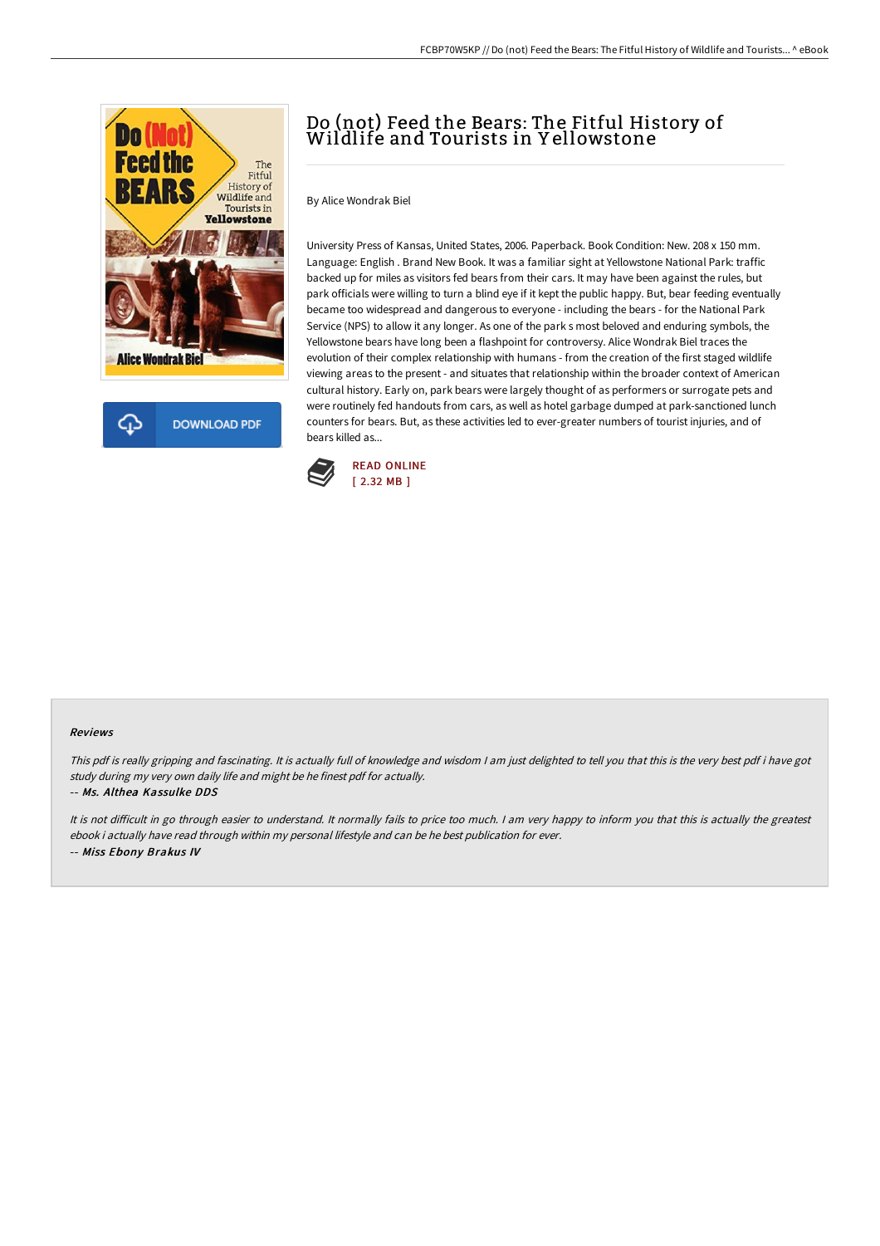



# Do (not) Feed the Bears: The Fitful History of Wildlife and Tourists in Y ellowstone

By Alice Wondrak Biel

University Press of Kansas, United States, 2006. Paperback. Book Condition: New. 208 x 150 mm. Language: English . Brand New Book. It was a familiar sight at Yellowstone National Park: traffic backed up for miles as visitors fed bears from their cars. It may have been against the rules, but park officials were willing to turn a blind eye if it kept the public happy. But, bear feeding eventually became too widespread and dangerous to everyone - including the bears - for the National Park Service (NPS) to allow it any longer. As one of the park s most beloved and enduring symbols, the Yellowstone bears have long been a flashpoint for controversy. Alice Wondrak Biel traces the evolution of their complex relationship with humans - from the creation of the first staged wildlife viewing areas to the present - and situates that relationship within the broader context of American cultural history. Early on, park bears were largely thought of as performers or surrogate pets and were routinely fed handouts from cars, as well as hotel garbage dumped at park-sanctioned lunch counters for bears. But, as these activities led to ever-greater numbers of tourist injuries, and of bears killed as...



#### Reviews

This pdf is really gripping and fascinating. It is actually full of knowledge and wisdom I am just delighted to tell you that this is the very best pdf i have got study during my very own daily life and might be he finest pdf for actually.

#### -- Ms. Althea Kassulke DDS

It is not difficult in go through easier to understand. It normally fails to price too much. I am very happy to inform you that this is actually the greatest ebook i actually have read through within my personal lifestyle and can be he best publication for ever. -- Miss Ebony Brakus IV